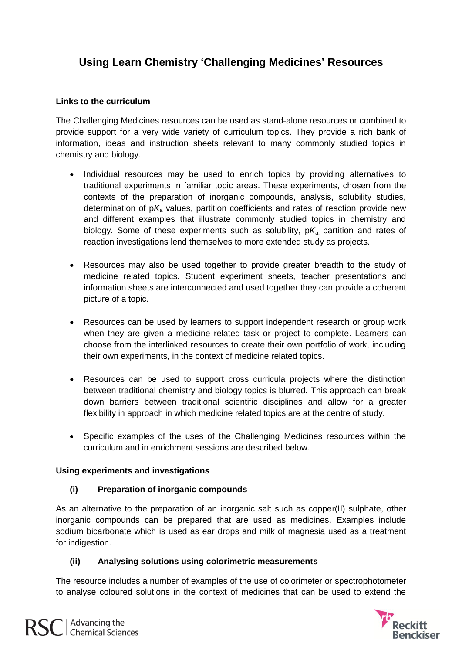# **Using Learn Chemistry 'Challenging Medicines' Resources**

## **Links to the curriculum**

The Challenging Medicines resources can be used as stand-alone resources or combined to provide support for a very wide variety of curriculum topics. They provide a rich bank of information, ideas and instruction sheets relevant to many commonly studied topics in chemistry and biology.

- Individual resources may be used to enrich topics by providing alternatives to traditional experiments in familiar topic areas. These experiments, chosen from the contexts of the preparation of inorganic compounds, analysis, solubility studies, determination of pK<sub>a</sub> values, partition coefficients and rates of reaction provide new and different examples that illustrate commonly studied topics in chemistry and biology. Some of these experiments such as solubility,  $pK_a$  partition and rates of reaction investigations lend themselves to more extended study as projects.
- Resources may also be used together to provide greater breadth to the study of medicine related topics. Student experiment sheets, teacher presentations and information sheets are interconnected and used together they can provide a coherent picture of a topic.
- Resources can be used by learners to support independent research or group work when they are given a medicine related task or project to complete. Learners can choose from the interlinked resources to create their own portfolio of work, including their own experiments, in the context of medicine related topics.
- Resources can be used to support cross curricula projects where the distinction between traditional chemistry and biology topics is blurred. This approach can break down barriers between traditional scientific disciplines and allow for a greater flexibility in approach in which medicine related topics are at the centre of study.
- Specific examples of the uses of the Challenging Medicines resources within the curriculum and in enrichment sessions are described below.

## **Using experiments and investigations**

## **(i) Preparation of inorganic compounds**

As an alternative to the preparation of an inorganic salt such as copper(II) sulphate, other inorganic compounds can be prepared that are used as medicines. Examples include sodium bicarbonate which is used as ear drops and milk of magnesia used as a treatment for indigestion.

## **(ii) Analysing solutions using colorimetric measurements**

The resource includes a number of examples of the use of colorimeter or spectrophotometer to analyse coloured solutions in the context of medicines that can be used to extend the